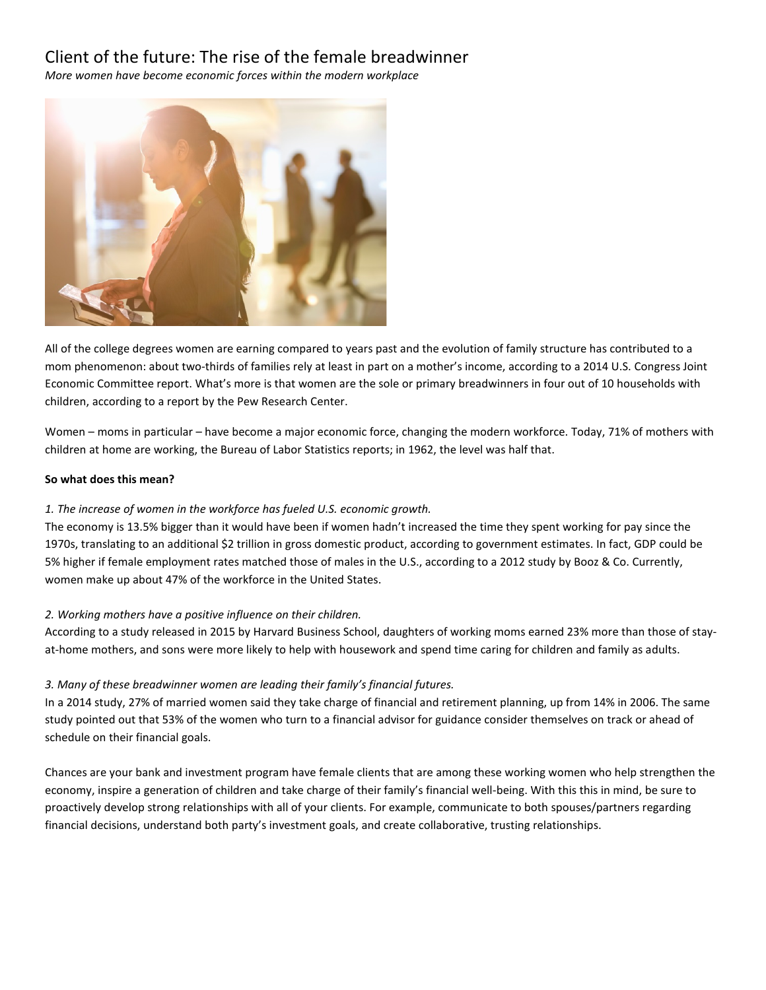# Client of the future: The rise of the female breadwinner

*More women have become economic forces within the modern workplace*



All of the college degrees women are earning compared to years past and the evolution of family structure has contributed to a mom phenomenon: about two-thirds of families rely at least in part on a mother's income, according to a 2014 U.S. Congress Joint Economic Committee report. What's more is that women are the sole or primary breadwinners in four out of 10 households with children, according to a report by the Pew Research Center.

Women – moms in particular – have become a major economic force, changing the modern workforce. Today, 71% of mothers with children at home are working, the Bureau of Labor Statistics reports; in 1962, the level was half that.

### **So what does this mean?**

## *1. The increase of women in the workforce has fueled U.S. economic growth.*

The economy is 13.5% bigger than it would have been if women hadn't increased the time they spent working for pay since the 1970s, translating to an additional \$2 trillion in gross domestic product, according to government estimates. In fact, GDP could be 5% higher if female employment rates matched those of males in the U.S., according to a 2012 study by Booz & Co. Currently, women make up about 47% of the workforce in the United States.

## *2. Working mothers have a positive influence on their children.*

According to a study released in 2015 by Harvard Business School, daughters of working moms earned 23% more than those of stayat-home mothers, and sons were more likely to help with housework and spend time caring for children and family as adults.

## *3. Many of these breadwinner women are leading their family's financial futures.*

In a 2014 study, 27% of married women said they take charge of financial and retirement planning, up from 14% in 2006. The same study pointed out that 53% of the women who turn to a financial advisor for guidance consider themselves on track or ahead of schedule on their financial goals.

Chances are your bank and investment program have female clients that are among these working women who help strengthen the economy, inspire a generation of children and take charge of their family's financial well-being. With this this in mind, be sure to proactively develop strong relationships with all of your clients. For example, communicate to both spouses/partners regarding financial decisions, understand both party's investment goals, and create collaborative, trusting relationships.